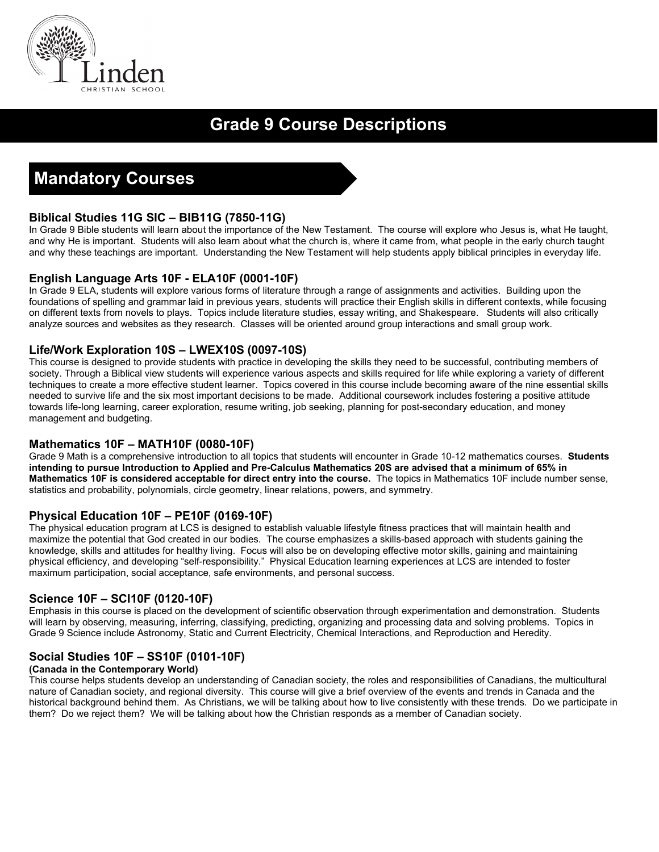

# **Grade 9 Course Descriptions**

# **Mandatory Courses**

# **Biblical Studies 11G SIC – BIB11G (7850-11G)**

In Grade 9 Bible students will learn about the importance of the New Testament. The course will explore who Jesus is, what He taught, and why He is important. Students will also learn about what the church is, where it came from, what people in the early church taught and why these teachings are important. Understanding the New Testament will help students apply biblical principles in everyday life.

### **English Language Arts 10F - ELA10F (0001-10F)**

In Grade 9 ELA, students will explore various forms of literature through a range of assignments and activities. Building upon the foundations of spelling and grammar laid in previous years, students will practice their English skills in different contexts, while focusing on different texts from novels to plays. Topics include literature studies, essay writing, and Shakespeare. Students will also critically analyze sources and websites as they research. Classes will be oriented around group interactions and small group work.

## **Life/Work Exploration 10S – LWEX10S (0097-10S)**

This course is designed to provide students with practice in developing the skills they need to be successful, contributing members of society. Through a Biblical view students will experience various aspects and skills required for life while exploring a variety of different techniques to create a more effective student learner. Topics covered in this course include becoming aware of the nine essential skills needed to survive life and the six most important decisions to be made. Additional coursework includes fostering a positive attitude towards life-long learning, career exploration, resume writing, job seeking, planning for post-secondary education, and money management and budgeting.

### **Mathematics 10F – MATH10F (0080-10F)**

Grade 9 Math is a comprehensive introduction to all topics that students will encounter in Grade 10-12 mathematics courses. **Students intending to pursue Introduction to Applied and Pre-Calculus Mathematics 20S are advised that a minimum of 65% in Mathematics 10F is considered acceptable for direct entry into the course.** The topics in Mathematics 10F include number sense, statistics and probability, polynomials, circle geometry, linear relations, powers, and symmetry.

# **Physical Education 10F – PE10F (0169-10F)**

The physical education program at LCS is designed to establish valuable lifestyle fitness practices that will maintain health and maximize the potential that God created in our bodies. The course emphasizes a skills-based approach with students gaining the knowledge, skills and attitudes for healthy living. Focus will also be on developing effective motor skills, gaining and maintaining physical efficiency, and developing "self-responsibility." Physical Education learning experiences at LCS are intended to foster maximum participation, social acceptance, safe environments, and personal success.

### **Science 10F – SCI10F (0120-10F)**

Emphasis in this course is placed on the development of scientific observation through experimentation and demonstration. Students will learn by observing, measuring, inferring, classifying, predicting, organizing and processing data and solving problems. Topics in Grade 9 Science include Astronomy, Static and Current Electricity, Chemical Interactions, and Reproduction and Heredity.

### **Social Studies 10F – SS10F (0101-10F)**

#### **(Canada in the Contemporary World)**

This course helps students develop an understanding of Canadian society, the roles and responsibilities of Canadians, the multicultural nature of Canadian society, and regional diversity. This course will give a brief overview of the events and trends in Canada and the historical background behind them. As Christians, we will be talking about how to live consistently with these trends. Do we participate in them? Do we reject them? We will be talking about how the Christian responds as a member of Canadian society.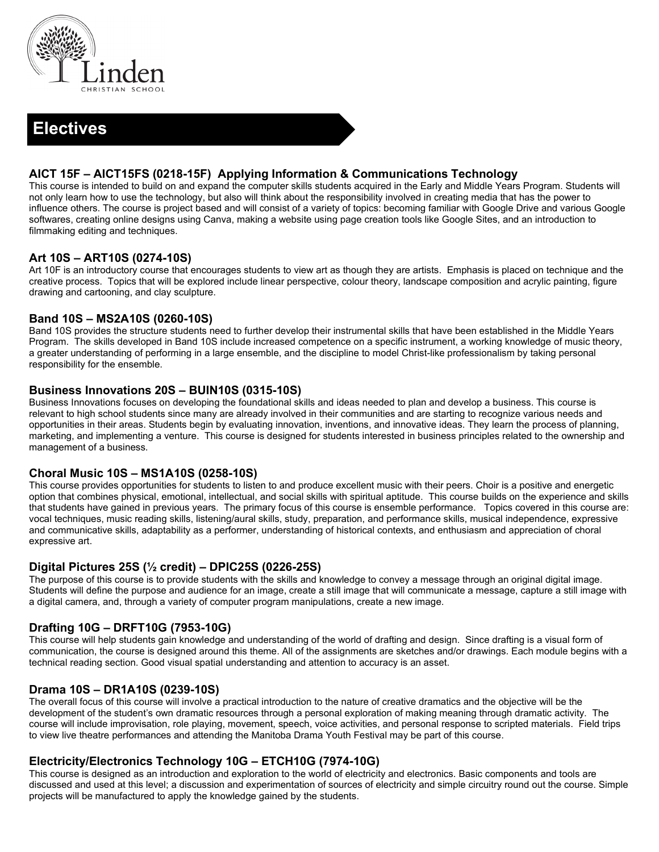

# **Electives**

## **AICT 15F – AICT15FS (0218-15F) Applying Information & Communications Technology**

This course is intended to build on and expand the computer skills students acquired in the Early and Middle Years Program. Students will not only learn how to use the technology, but also will think about the responsibility involved in creating media that has the power to influence others. The course is project based and will consist of a variety of topics: becoming familiar with Google Drive and various Google softwares, creating online designs using Canva, making a website using page creation tools like Google Sites, and an introduction to filmmaking editing and techniques.

### **Art 10S – ART10S (0274-10S)**

Art 10F is an introductory course that encourages students to view art as though they are artists. Emphasis is placed on technique and the creative process. Topics that will be explored include linear perspective, colour theory, landscape composition and acrylic painting, figure drawing and cartooning, and clay sculpture.

### **Band 10S – MS2A10S (0260-10S)**

Band 10S provides the structure students need to further develop their instrumental skills that have been established in the Middle Years Program. The skills developed in Band 10S include increased competence on a specific instrument, a working knowledge of music theory, a greater understanding of performing in a large ensemble, and the discipline to model Christ-like professionalism by taking personal responsibility for the ensemble.

### **Business Innovations 20S – BUIN10S (0315-10S)**

Business Innovations focuses on developing the foundational skills and ideas needed to plan and develop a business. This course is relevant to high school students since many are already involved in their communities and are starting to recognize various needs and opportunities in their areas. Students begin by evaluating innovation, inventions, and innovative ideas. They learn the process of planning, marketing, and implementing a venture. This course is designed for students interested in business principles related to the ownership and management of a business.

#### **Choral Music 10S – MS1A10S (0258-10S)**

This course provides opportunities for students to listen to and produce excellent music with their peers. Choir is a positive and energetic option that combines physical, emotional, intellectual, and social skills with spiritual aptitude. This course builds on the experience and skills that students have gained in previous years. The primary focus of this course is ensemble performance. Topics covered in this course are: vocal techniques, music reading skills, listening/aural skills, study, preparation, and performance skills, musical independence, expressive and communicative skills, adaptability as a performer, understanding of historical contexts, and enthusiasm and appreciation of choral expressive art.

#### **Digital Pictures 25S (½ credit) – DPIC25S (0226-25S)**

The purpose of this course is to provide students with the skills and knowledge to convey a message through an original digital image. Students will define the purpose and audience for an image, create a still image that will communicate a message, capture a still image with a digital camera, and, through a variety of computer program manipulations, create a new image.

### **Drafting 10G – DRFT10G (7953-10G)**

This course will help students gain knowledge and understanding of the world of drafting and design. Since drafting is a visual form of communication, the course is designed around this theme. All of the assignments are sketches and/or drawings. Each module begins with a technical reading section. Good visual spatial understanding and attention to accuracy is an asset.

### **Drama 10S – DR1A10S (0239-10S)**

The overall focus of this course will involve a practical introduction to the nature of creative dramatics and the objective will be the development of the student's own dramatic resources through a personal exploration of making meaning through dramatic activity. The course will include improvisation, role playing, movement, speech, voice activities, and personal response to scripted materials. Field trips to view live theatre performances and attending the Manitoba Drama Youth Festival may be part of this course.

### **Electricity/Electronics Technology 10G – ETCH10G (7974-10G)**

This course is designed as an introduction and exploration to the world of electricity and electronics. Basic components and tools are discussed and used at this level; a discussion and experimentation of sources of electricity and simple circuitry round out the course. Simple projects will be manufactured to apply the knowledge gained by the students.